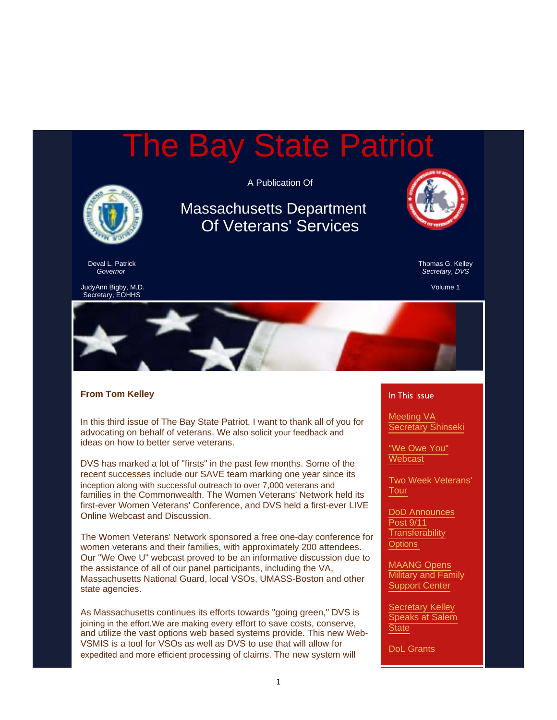# The Bay State Patriot

A Publication Of



Deval L. Patrick *Governor*

Massachusetts Department Of Veterans' Services



Thomas G. Kelley *Secretary, DVS*

Volume 1





#### **From Tom Kelley**

In this third issue of The Bay State Patriot, I want to thank all of you for advocating on behalf of veterans. We also solicit your feedback and ideas on how to better serve veterans.

DVS has marked a lot of "firsts" in the past few months. Some of the recent successes include our SAVE team marking one year since its inception along with successful outreach to over 7,000 veterans and families in the Commonwealth. The Women Veterans' Network held its first-ever Women Veterans' Conference, and DVS held a first-ever LIVE Online Webcast and Discussion.

The Women Veterans' Network sponsored a free one-day conference for women veterans and their families, with approximately 200 attendees. Our "We Owe U" webcast proved to be an informative discussion due to the assistance of all of our panel participants, including the VA, Massachusetts National Guard, local VSOs, UMASS-Boston and other state agencies.

As Massachusetts continues its efforts towards "going green," DVS is joining in the effort.We are making every effort to save costs, conserve, and utilize the vast options web based systems provide. This new Web-VSMIS is a tool for VSOs as well as DVS to use that will allow for expedited and more efficient processing of claims. The new system will

#### In This Issue

Meeting VA Secretary Shinseki

"We Owe You" **Webcast** 

Two Week Veterans' Tour

DoD Announces Post 9/11 **Transferability Options** 

MAANG Opens **Military and Family** Support Center

Secretary Kelley Speaks at Salem **State** 

DoL Grants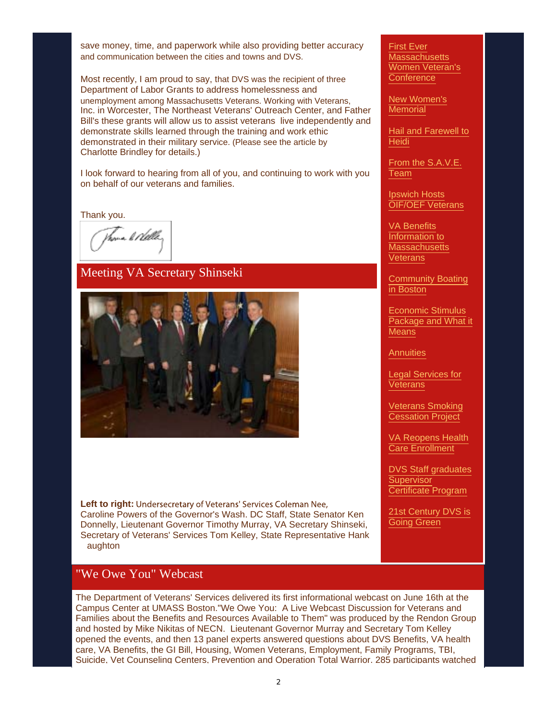save money, time, and paperwork while also providing better accuracy and communication between the cities and towns and DVS.

Most recently, I am proud to say, that DVS was the recipient of three Department of Labor Grants to address homelessness and unemployment among Massachusetts Veterans. Working with Veterans, Inc. in Worcester, The Northeast Veterans' Outreach Center, and Father Bill's these grants will allow us to assist veterans live independently and demonstrate skills learned through the training and work ethic demonstrated in their military service. (Please see the article by Charlotte Brindley for details.)

I look forward to hearing from all of you, and continuing to work with you on behalf of our veterans and families.

Thank you.

Vana li Nella,

#### Meeting VA Secretary Shinseki



**Left to right: Undersecretary of Veterans' Services Coleman Nee,** Caroline Powers of the Governor's Wash. DC Staff, State Senator Ken Donnelly, Lieutenant Governor Timothy Murray, VA Secretary Shinseki, Secretary of Veterans' Services Tom Kelley, State Representative Hank aughton

#### First Ever **Massachusetts** Women Veteran's **Conference**

New Women's **Memorial** 

Hail and Farewell to **Heidi** 

From the S.A.V.E. Team

Ipswich Hosts OIF/OEF Veterans

VA Benefits Information to **Massachusetts Veterans** 

Community Boating in Boston

Economic Stimulus Package and What it **Means** 

**Annuities** 

Legal Services for **Veterans** 

Veterans Smoking **Cessation Project** 

VA Reopens Health Care Enrollment

DVS Staff graduates **Supervisor** Certificate Program

21st Century DVS is Going Green

#### "We Owe You" Webcast

The Department of Veterans' Services delivered its first informational webcast on June 16th at the Campus Center at UMASS Boston."We Owe You: A Live Webcast Discussion for Veterans and Families about the Benefits and Resources Available to Them" was produced by the Rendon Group and hosted by Mike Nikitas of NECN. Lieutenant Governor Murray and Secretary Tom Kelley opened the events, and then 13 panel experts answered questions about DVS Benefits, VA health care, VA Benefits, the GI Bill, Housing, Women Veterans, Employment, Family Programs, TBI, Suicide, Vet Counseling Centers, Prevention and Operation Total Warrior. 285 participants watched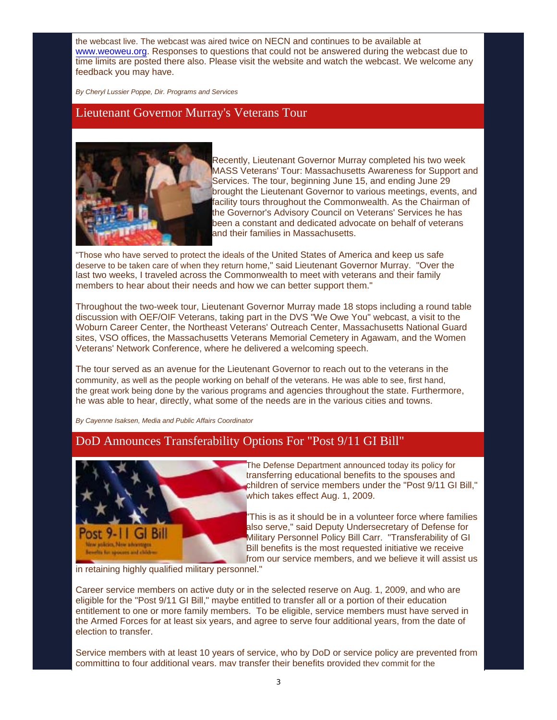the webcast live. The webcast was aired twice on NECN and continues to be available at www.weoweu.org. Responses to questions that could not be answered during the webcast due to time limits are posted there also. Please visit the website and watch the webcast. We welcome any feedback you may have.

*By Cheryl Lussier Poppe, Dir. Programs and Services*

#### Lieutenant Governor Murray's Veterans Tour



Recently, Lieutenant Governor Murray completed his two week MASS Veterans' Tour: Massachusetts Awareness for Support and Services. The tour, beginning June 15, and ending June 29 brought the Lieutenant Governor to various meetings, events, and facility tours throughout the Commonwealth. As the Chairman of the Governor's Advisory Council on Veterans' Services he has been a constant and dedicated advocate on behalf of veterans and their families in Massachusetts.

"Those who have served to protect the ideals of the United States of America and keep us safe deserve to be taken care of when they return home," said Lieutenant Governor Murray. "Over the last two weeks, I traveled across the Commonwealth to meet with veterans and their family members to hear about their needs and how we can better support them."

Throughout the two-week tour, Lieutenant Governor Murray made 18 stops including a round table discussion with OEF/OIF Veterans, taking part in the DVS "We Owe You" webcast, a visit to the Woburn Career Center, the Northeast Veterans' Outreach Center, Massachusetts National Guard sites, VSO offices, the Massachusetts Veterans Memorial Cemetery in Agawam, and the Women Veterans' Network Conference, where he delivered a welcoming speech.

The tour served as an avenue for the Lieutenant Governor to reach out to the veterans in the community, as well as the people working on behalf of the veterans. He was able to see, first hand, the great work being done by the various programs and agencies throughout the state. Furthermore, he was able to hear, directly, what some of the needs are in the various cities and towns.

*By Cayenne Isaksen, Media and Public Affairs Coordinator*

#### DoD Announces Transferability Options For "Post 9/11 GI Bill"



The Defense Department announced today its policy for transferring educational benefits to the spouses and children of service members under the "Post 9/11 GI Bill," which takes effect Aug. 1, 2009.

"This is as it should be in a volunteer force where families also serve," said Deputy Undersecretary of Defense for Military Personnel Policy Bill Carr. "Transferability of GI Bill benefits is the most requested initiative we receive from our service members, and we believe it will assist us

in retaining highly qualified military personnel."

Career service members on active duty or in the selected reserve on Aug. 1, 2009, and who are eligible for the "Post 9/11 GI Bill," maybe entitled to transfer all or a portion of their education entitlement to one or more family members. To be eligible, service members must have served in the Armed Forces for at least six years, and agree to serve four additional years, from the date of election to transfer.

Service members with at least 10 years of service, who by DoD or service policy are prevented from committing to four additional years, may transfer their benefits provided they commit for the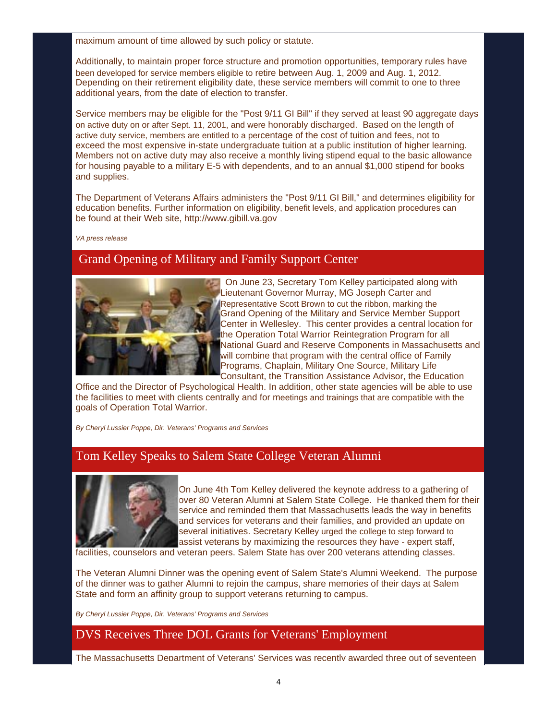maximum amount of time allowed by such policy or statute.

Additionally, to maintain proper force structure and promotion opportunities, temporary rules have been developed for service members eligible to retire between Aug. 1, 2009 and Aug. 1, 2012. Depending on their retirement eligibility date, these service members will commit to one to three additional years, from the date of election to transfer.

Service members may be eligible for the "Post 9/11 GI Bill" if they served at least 90 aggregate days on active duty on or after Sept. 11, 2001, and were honorably discharged. Based on the length of active duty service, members are entitled to a percentage of the cost of tuition and fees, not to exceed the most expensive in-state undergraduate tuition at a public institution of higher learning. Members not on active duty may also receive a monthly living stipend equal to the basic allowance for housing payable to a military E-5 with dependents, and to an annual \$1,000 stipend for books and supplies.

The Department of Veterans Affairs administers the "Post 9/11 GI Bill," and determines eligibility for education benefits. Further information on eligibility, benefit levels, and application procedures can be found at their Web site, http://www.gibill.va.gov

*VA press release*

# Grand Opening of Military and Family Support Center



 On June 23, Secretary Tom Kelley participated along with Lieutenant Governor Murray, MG Joseph Carter and Representative Scott Brown to cut the ribbon, marking the Grand Opening of the Military and Service Member Support Center in Wellesley. This center provides a central location for the Operation Total Warrior Reintegration Program for all National Guard and Reserve Components in Massachusetts and will combine that program with the central office of Family Programs, Chaplain, Military One Source, Military Life Consultant, the Transition Assistance Advisor, the Education

Office and the Director of Psychological Health. In addition, other state agencies will be able to use the facilities to meet with clients centrally and for meetings and trainings that are compatible with the goals of Operation Total Warrior.

*By Cheryl Lussier Poppe, Dir. Veterans' Programs and Services*

# Tom Kelley Speaks to Salem State College Veteran Alumni



On June 4th Tom Kelley delivered the keynote address to a gathering of over 80 Veteran Alumni at Salem State College. He thanked them for their service and reminded them that Massachusetts leads the way in benefits and services for veterans and their families, and provided an update on several initiatives. Secretary Kelley urged the college to step forward to assist veterans by maximizing the resources they have - expert staff,

facilities, counselors and veteran peers. Salem State has over 200 veterans attending classes.

The Veteran Alumni Dinner was the opening event of Salem State's Alumni Weekend. The purpose of the dinner was to gather Alumni to rejoin the campus, share memories of their days at Salem State and form an affinity group to support veterans returning to campus.

*By Cheryl Lussier Poppe, Dir. Veterans' Programs and Services*

# DVS Receives Three DOL Grants for Veterans' Employment

The Massachusetts Department of Veterans' Services was recently awarded three out of seventeen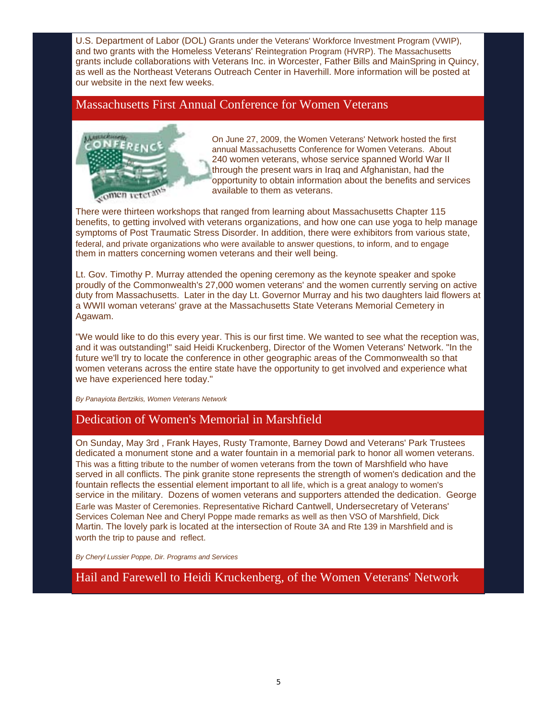U.S. Department of Labor (DOL) Grants under the Veterans' Workforce Investment Program (VWIP), and two grants with the Homeless Veterans' Reintegration Program (HVRP). The Massachusetts grants include collaborations with Veterans Inc. in Worcester, Father Bills and MainSpring in Quincy, as well as the Northeast Veterans Outreach Center in Haverhill. More information will be posted at our website in the next few weeks.

# Massachusetts First Annual Conference for Women Veterans



On June 27, 2009, the Women Veterans' Network hosted the first annual Massachusetts Conference for Women Veterans. About 240 women veterans, whose service spanned World War II through the present wars in Iraq and Afghanistan, had the opportunity to obtain information about the benefits and services available to them as veterans.

There were thirteen workshops that ranged from learning about Massachusetts Chapter 115 benefits, to getting involved with veterans organizations, and how one can use yoga to help manage symptoms of Post Traumatic Stress Disorder. In addition, there were exhibitors from various state, federal, and private organizations who were available to answer questions, to inform, and to engage them in matters concerning women veterans and their well being.

Lt. Gov. Timothy P. Murray attended the opening ceremony as the keynote speaker and spoke proudly of the Commonwealth's 27,000 women veterans' and the women currently serving on active duty from Massachusetts. Later in the day Lt. Governor Murray and his two daughters laid flowers at a WWII woman veterans' grave at the Massachusetts State Veterans Memorial Cemetery in Agawam.

"We would like to do this every year. This is our first time. We wanted to see what the reception was, and it was outstanding!" said Heidi Kruckenberg, Director of the Women Veterans' Network. "In the future we'll try to locate the conference in other geographic areas of the Commonwealth so that women veterans across the entire state have the opportunity to get involved and experience what we have experienced here today."

*By Panayiota Bertzikis, Women Veterans Network*

# Dedication of Women's Memorial in Marshfield

On Sunday, May 3rd , Frank Hayes, Rusty Tramonte, Barney Dowd and Veterans' Park Trustees dedicated a monument stone and a water fountain in a memorial park to honor all women veterans. This was a fitting tribute to the number of women veterans from the town of Marshfield who have served in all conflicts. The pink granite stone represents the strength of women's dedication and the fountain reflects the essential element important to all life, which is a great analogy to women's service in the military. Dozens of women veterans and supporters attended the dedication. George Earle was Master of Ceremonies. Representative Richard Cantwell, Undersecretary of Veterans' Services Coleman Nee and Cheryl Poppe made remarks as well as then VSO of Marshfield, Dick Martin. The lovely park is located at the intersection of Route 3A and Rte 139 in Marshfield and is worth the trip to pause and reflect.

*By Cheryl Lussier Poppe, Dir. Programs and Services*

Hail and Farewell to Heidi Kruckenberg, of the Women Veterans' Network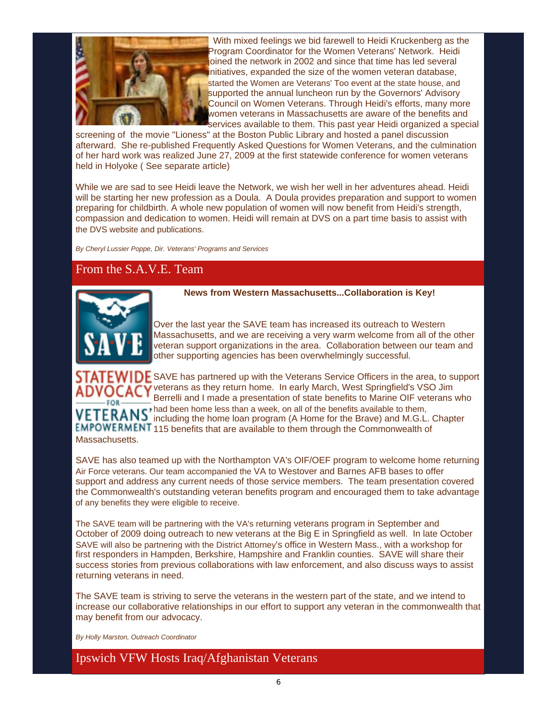

 With mixed feelings we bid farewell to Heidi Kruckenberg as the Program Coordinator for the Women Veterans' Network. Heidi joined the network in 2002 and since that time has led several initiatives, expanded the size of the women veteran database, started the Women are Veterans' Too event at the state house, and supported the annual luncheon run by the Governors' Advisory Council on Women Veterans. Through Heidi's efforts, many more women veterans in Massachusetts are aware of the benefits and services available to them. This past year Heidi organized a special

screening of the movie "Lioness" at the Boston Public Library and hosted a panel discussion afterward. She re-published Frequently Asked Questions for Women Veterans, and the culmination of her hard work was realized June 27, 2009 at the first statewide conference for women veterans held in Holyoke ( See separate article)

While we are sad to see Heidi leave the Network, we wish her well in her adventures ahead. Heidi will be starting her new profession as a Doula. A Doula provides preparation and support to women preparing for childbirth. A whole new population of women will now benefit from Heidi's strength, compassion and dedication to women. Heidi will remain at DVS on a part time basis to assist with the DVS website and publications.

*By Cheryl Lussier Poppe, Dir. Veterans' Programs and Services*

# From the S.A.V.E. Team



#### **News from Western Massachusetts...Collaboration is Key!**

Over the last year the SAVE team has increased its outreach to Western Massachusetts, and we are receiving a very warm welcome from all of the other veteran support organizations in the area. Collaboration between our team and other supporting agencies has been overwhelmingly successful.

 $STATEWIDE$  SAVE has partnered up with the Veterans Service Officers in the area, to support veterans as they return home. In early March, West Springfield's VSO Jim Berrelli and I made a presentation of state benefits to Marine OIF veterans who  $FOR$ had been home less than a week, on all of the benefits available to them, including the home loan program (A Home for the Brave) and M.G.L. Chapter EMPOWERMENT 115 benefits that are available to them through the Commonwealth of **Massachusetts** 

SAVE has also teamed up with the Northampton VA's OIF/OEF program to welcome home returning Air Force veterans. Our team accompanied the VA to Westover and Barnes AFB bases to offer support and address any current needs of those service members. The team presentation covered the Commonwealth's outstanding veteran benefits program and encouraged them to take advantage of any benefits they were eligible to receive.

The SAVE team will be partnering with the VA's returning veterans program in September and October of 2009 doing outreach to new veterans at the Big E in Springfield as well. In late October SAVE will also be partnering with the District Attorney's office in Western Mass., with a workshop for first responders in Hampden, Berkshire, Hampshire and Franklin counties. SAVE will share their success stories from previous collaborations with law enforcement, and also discuss ways to assist returning veterans in need.

The SAVE team is striving to serve the veterans in the western part of the state, and we intend to increase our collaborative relationships in our effort to support any veteran in the commonwealth that may benefit from our advocacy.

*By Holly Marston, Outreach Coordinator*

Ipswich VFW Hosts Iraq/Afghanistan Veterans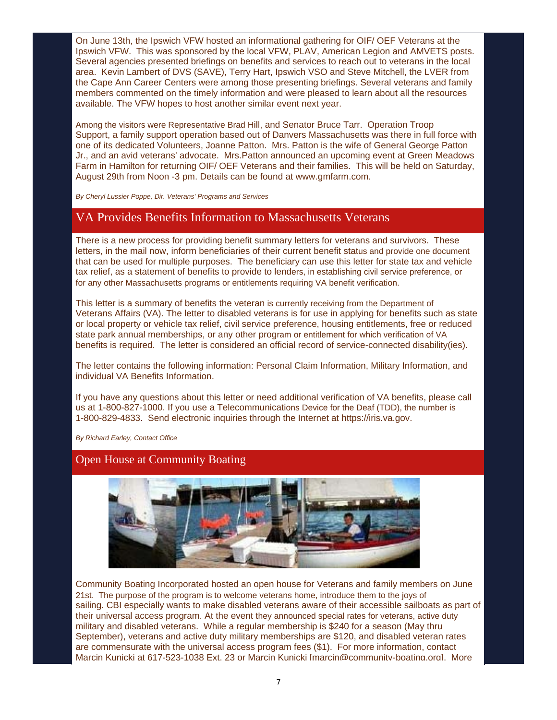On June 13th, the Ipswich VFW hosted an informational gathering for OIF/ OEF Veterans at the Ipswich VFW. This was sponsored by the local VFW, PLAV, American Legion and AMVETS posts. Several agencies presented briefings on benefits and services to reach out to veterans in the local area. Kevin Lambert of DVS (SAVE), Terry Hart, Ipswich VSO and Steve Mitchell, the LVER from the Cape Ann Career Centers were among those presenting briefings. Several veterans and family members commented on the timely information and were pleased to learn about all the resources available. The VFW hopes to host another similar event next year.

Among the visitors were Representative Brad Hill, and Senator Bruce Tarr. Operation Troop Support, a family support operation based out of Danvers Massachusetts was there in full force with one of its dedicated Volunteers, Joanne Patton. Mrs. Patton is the wife of General George Patton Jr., and an avid veterans' advocate. Mrs.Patton announced an upcoming event at Green Meadows Farm in Hamilton for returning OIF/ OEF Veterans and their families. This will be held on Saturday, August 29th from Noon -3 pm. Details can be found at www.gmfarm.com.

*By Cheryl Lussier Poppe, Dir. Veterans' Programs and Services*

## VA Provides Benefits Information to Massachusetts Veterans

There is a new process for providing benefit summary letters for veterans and survivors. These letters, in the mail now, inform beneficiaries of their current benefit status and provide one document that can be used for multiple purposes. The beneficiary can use this letter for state tax and vehicle tax relief, as a statement of benefits to provide to lenders, in establishing civil service preference, or for any other Massachusetts programs or entitlements requiring VA benefit verification.

This letter is a summary of benefits the veteran is currently receiving from the Department of Veterans Affairs (VA). The letter to disabled veterans is for use in applying for benefits such as state or local property or vehicle tax relief, civil service preference, housing entitlements, free or reduced state park annual memberships, or any other program or entitlement for which verification of VA benefits is required. The letter is considered an official record of service-connected disability(ies).

The letter contains the following information: Personal Claim Information, Military Information, and individual VA Benefits Information.

If you have any questions about this letter or need additional verification of VA benefits, please call us at 1-800-827-1000. If you use a Telecommunications Device for the Deaf (TDD), the number is 1-800-829-4833. Send electronic inquiries through the Internet at https://iris.va.gov.

*By Richard Earley, Contact Office*

#### Open House at Community Boating



Community Boating Incorporated hosted an open house for Veterans and family members on June 21st. The purpose of the program is to welcome veterans home, introduce them to the joys of sailing. CBI especially wants to make disabled veterans aware of their accessible sailboats as part of their universal access program. At the event they announced special rates for veterans, active duty military and disabled veterans. While a regular membership is \$240 for a season (May thru September), veterans and active duty military memberships are \$120, and disabled veteran rates are commensurate with the universal access program fees (\$1). For more information, contact Marcin Kunicki at 617-523-1038 Ext. 23 or Marcin Kunicki [marcin@community-boating.org]. More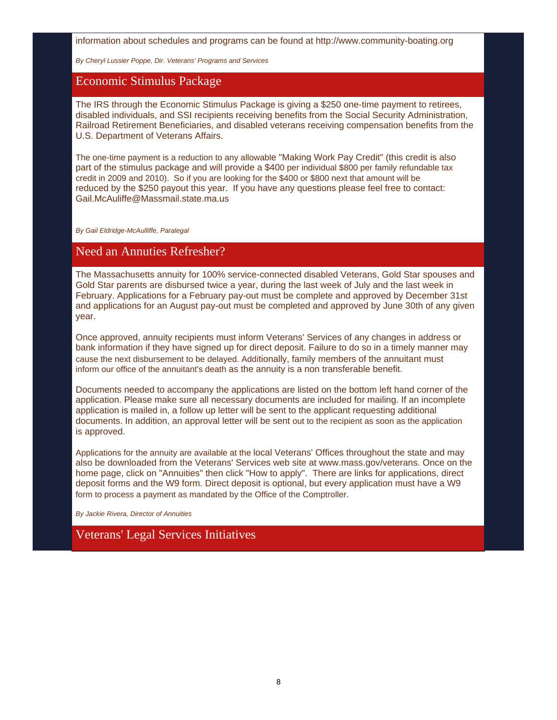information about schedules and programs can be found at http://www.community-boating.org

*By Cheryl Lussier Poppe, Dir. Veterans' Programs and Services*

#### Economic Stimulus Package

The IRS through the Economic Stimulus Package is giving a \$250 one-time payment to retirees, disabled individuals, and SSI recipients receiving benefits from the Social Security Administration, Railroad Retirement Beneficiaries, and disabled veterans receiving compensation benefits from the U.S. Department of Veterans Affairs.

The one-time payment is a reduction to any allowable "Making Work Pay Credit" (this credit is also part of the stimulus package and will provide a \$400 per individual \$800 per family refundable tax credit in 2009 and 2010). So if you are looking for the \$400 or \$800 next that amount will be reduced by the \$250 payout this year. If you have any questions please feel free to contact: Gail.McAuliffe@Massmail.state.ma.us

*By Gail Eldridge-McAulliffe, Paralegal*

# Need an Annuties Refresher?

The Massachusetts annuity for 100% service-connected disabled Veterans, Gold Star spouses and Gold Star parents are disbursed twice a year, during the last week of July and the last week in February. Applications for a February pay-out must be complete and approved by December 31st and applications for an August pay-out must be completed and approved by June 30th of any given year.

Once approved, annuity recipients must inform Veterans' Services of any changes in address or bank information if they have signed up for direct deposit. Failure to do so in a timely manner may cause the next disbursement to be delayed. Additionally, family members of the annuitant must inform our office of the annuitant's death as the annuity is a non transferable benefit.

Documents needed to accompany the applications are listed on the bottom left hand corner of the application. Please make sure all necessary documents are included for mailing. If an incomplete application is mailed in, a follow up letter will be sent to the applicant requesting additional documents. In addition, an approval letter will be sent out to the recipient as soon as the application is approved.

Applications for the annuity are available at the local Veterans' Offices throughout the state and may also be downloaded from the Veterans' Services web site at www.mass.gov/veterans. Once on the home page, click on "Annuities" then click "How to apply". There are links for applications, direct deposit forms and the W9 form. Direct deposit is optional, but every application must have a W9 form to process a payment as mandated by the Office of the Comptroller.

*By Jackie Rivera, Director of Annuities*

# Veterans' Legal Services Initiatives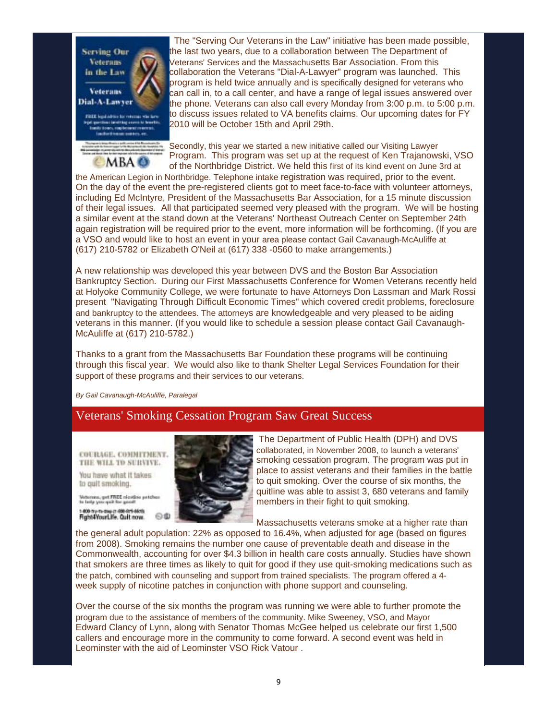

 The "Serving Our Veterans in the Law" initiative has been made possible, the last two years, due to a collaboration between The Department of Veterans' Services and the Massachusetts Bar Association. From this collaboration the Veterans "Dial-A-Lawyer" program was launched. This program is held twice annually and is specifically designed for veterans who can call in, to a call center, and have a range of legal issues answered over the phone. Veterans can also call every Monday from 3:00 p.m. to 5:00 p.m. to discuss issues related to VA benefits claims. Our upcoming dates for FY 2010 will be October 15th and April 29th.

Secondly, this year we started a new initiative called our Visiting Lawyer Program. This program was set up at the request of Ken Trajanowski, VSO of the Northbridge District. We held this first of its kind event on June 3rd at

the American Legion in Northbridge. Telephone intake registration was required, prior to the event. On the day of the event the pre-registered clients got to meet face-to-face with volunteer attorneys, including Ed McIntyre, President of the Massachusetts Bar Association, for a 15 minute discussion of their legal issues. All that participated seemed very pleased with the program. We will be hosting a similar event at the stand down at the Veterans' Northeast Outreach Center on September 24th again registration will be required prior to the event, more information will be forthcoming. (If you are a VSO and would like to host an event in your area please contact Gail Cavanaugh-McAuliffe at (617) 210-5782 or Elizabeth O'Neil at (617) 338 -0560 to make arrangements.)

A new relationship was developed this year between DVS and the Boston Bar Association Bankruptcy Section. During our First Massachusetts Conference for Women Veterans recently held at Holyoke Community College, we were fortunate to have Attorneys Don Lassman and Mark Rossi present "Navigating Through Difficult Economic Times" which covered credit problems, foreclosure and bankruptcy to the attendees. The attorneys are knowledgeable and very pleased to be aiding veterans in this manner. (If you would like to schedule a session please contact Gail Cavanaugh-McAuliffe at (617) 210-5782.)

Thanks to a grant from the Massachusetts Bar Foundation these programs will be continuing through this fiscal year. We would also like to thank Shelter Legal Services Foundation for their support of these programs and their services to our veterans.

*By Gail Cavanaugh-McAuliffe, Paralegal*

#### Veterans' Smoking Cessation Program Saw Great Success

COURAGE, COOMITMENT. THE WILL TO SURVIVE.

You have what it takes to guit smoking.

.<br>Voterora, get FREÉ nicotico patche<br>In lady you quit the good! 1-800 my m-cap p 400-814 4619.<br>Fight 4 Your Life, Quit now.



 The Department of Public Health (DPH) and DVS collaborated, in November 2008, to launch a veterans' smoking cessation program. The program was put in place to assist veterans and their families in the battle to quit smoking. Over the course of six months, the quitline was able to assist 3, 680 veterans and family members in their fight to quit smoking.

Massachusetts veterans smoke at a higher rate than

the general adult population: 22% as opposed to 16.4%, when adjusted for age (based on figures from 2008). Smoking remains the number one cause of preventable death and disease in the Commonwealth, accounting for over \$4.3 billion in health care costs annually. Studies have shown that smokers are three times as likely to quit for good if they use quit-smoking medications such as the patch, combined with counseling and support from trained specialists. The program offered a 4 week supply of nicotine patches in conjunction with phone support and counseling.

Over the course of the six months the program was running we were able to further promote the program due to the assistance of members of the community. Mike Sweeney, VSO, and Mayor Edward Clancy of Lynn, along with Senator Thomas McGee helped us celebrate our first 1,500 callers and encourage more in the community to come forward. A second event was held in Leominster with the aid of Leominster VSO Rick Vatour .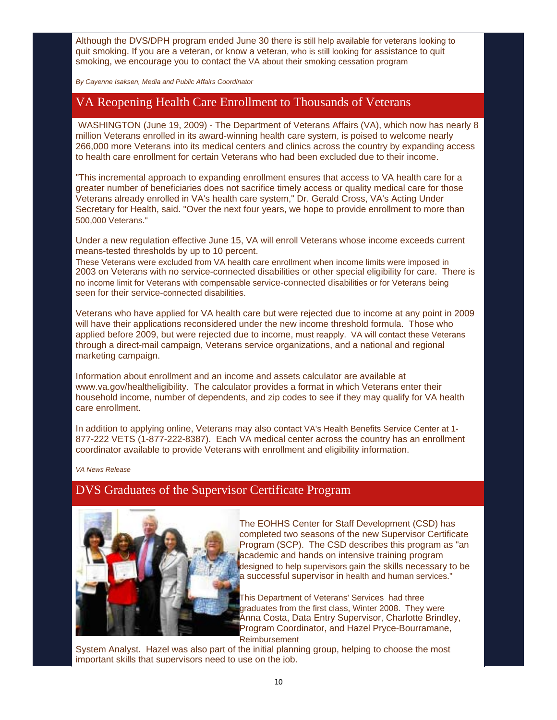Although the DVS/DPH program ended June 30 there is still help available for veterans looking to quit smoking. If you are a veteran, or know a veteran, who is still looking for assistance to quit smoking, we encourage you to contact the VA about their smoking cessation program

*By Cayenne Isaksen, Media and Public Affairs Coordinator*

#### VA Reopening Health Care Enrollment to Thousands of Veterans

 WASHINGTON (June 19, 2009) - The Department of Veterans Affairs (VA), which now has nearly 8 million Veterans enrolled in its award-winning health care system, is poised to welcome nearly 266,000 more Veterans into its medical centers and clinics across the country by expanding access to health care enrollment for certain Veterans who had been excluded due to their income.

"This incremental approach to expanding enrollment ensures that access to VA health care for a greater number of beneficiaries does not sacrifice timely access or quality medical care for those Veterans already enrolled in VA's health care system," Dr. Gerald Cross, VA's Acting Under Secretary for Health, said. "Over the next four years, we hope to provide enrollment to more than 500,000 Veterans."

Under a new regulation effective June 15, VA will enroll Veterans whose income exceeds current means-tested thresholds by up to 10 percent.

These Veterans were excluded from VA health care enrollment when income limits were imposed in 2003 on Veterans with no service-connected disabilities or other special eligibility for care. There is no income limit for Veterans with compensable service-connected disabilities or for Veterans being seen for their service-connected disabilities.

Veterans who have applied for VA health care but were rejected due to income at any point in 2009 will have their applications reconsidered under the new income threshold formula. Those who applied before 2009, but were rejected due to income, must reapply. VA will contact these Veterans through a direct-mail campaign, Veterans service organizations, and a national and regional marketing campaign.

Information about enrollment and an income and assets calculator are available at www.va.gov/healtheligibility. The calculator provides a format in which Veterans enter their household income, number of dependents, and zip codes to see if they may qualify for VA health care enrollment.

In addition to applying online, Veterans may also contact VA's Health Benefits Service Center at 1- 877-222 VETS (1-877-222-8387). Each VA medical center across the country has an enrollment coordinator available to provide Veterans with enrollment and eligibility information.

*VA News Release*

# DVS Graduates of the Supervisor Certificate Program



The EOHHS Center for Staff Development (CSD) has completed two seasons of the new Supervisor Certificate Program (SCP). The CSD describes this program as "an academic and hands on intensive training program designed to help supervisors gain the skills necessary to be a successful supervisor in health and human services."

This Department of Veterans' Services had three graduates from the first class, Winter 2008. They were Anna Costa, Data Entry Supervisor, Charlotte Brindley, Program Coordinator, and Hazel Pryce-Bourramane, Reimbursement

System Analyst. Hazel was also part of the initial planning group, helping to choose the most important skills that supervisors need to use on the job.